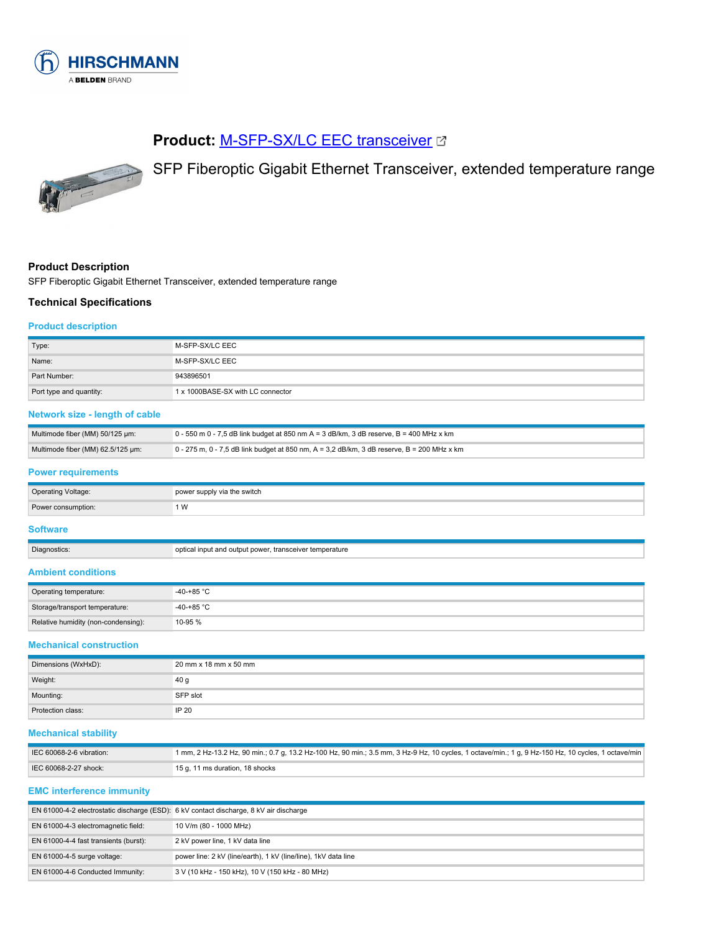

# **Product: [M-SFP-SX/LC EEC transceiver](https://catalog.belden.com/index.cfm?event=pd&p=PF_943896501&tab=downloads) C**



SFP Fiberoptic Gigabit Ethernet Transceiver, extended temperature range

# **Product Description**

SFP Fiberoptic Gigabit Ethernet Transceiver, extended temperature range

### **Technical Specifications**

#### **Product description**

| Type:                   | M-SFP-SX/LC EEC                   |
|-------------------------|-----------------------------------|
| Name:                   | M-SFP-SX/LC EEC                   |
| Part Number:            | 943896501                         |
| Port type and quantity: | 1 x 1000BASE-SX with LC connector |

# **Network size - length of cable**

| Multimode fiber (MM) 50/125 um:   | 0 - 550 m 0 - 7,5 dB link budget at 850 nm A = 3 dB/km, 3 dB reserve, B = 400 MHz x km     |
|-----------------------------------|--------------------------------------------------------------------------------------------|
| Multimode fiber (MM) 62.5/125 um: | 0 - 275 m, 0 - 7,5 dB link budget at 850 nm, A = 3,2 dB/km, 3 dB reserve, B = 200 MHz x km |

### **Power requirements**

| Operating Voltage: | power supply via the switch |
|--------------------|-----------------------------|
| Power consumption: | ΙW                          |
|                    |                             |

# **Software**

| Diagnostics: | optical input and output power, transceiver temperature |
|--------------|---------------------------------------------------------|
| ----         |                                                         |

# **Ambient conditions**

| Operating temperature:              | $-40-+85$ °C |
|-------------------------------------|--------------|
| Storage/transport temperature:      | -40-+85 °C   |
| Relative humidity (non-condensing): | 10-95 %      |

#### **Mechanical construction**

| Dimensions (WxHxD): | 20 mm x 18 mm x 50 mm |
|---------------------|-----------------------|
| Weight:             | 40 <sub>g</sub>       |
| Mounting:           | SFP slot              |
| Protection class:   | IP 20                 |

#### **Mechanical stability**

| IEC 60068-2-6 vibration: | 1 mm, 2 Hz-13.2 Hz, 90 min.; 0.7 g, 13.2 Hz-100 Hz, 90 min.; 3.5 mm, 3 Hz-9 Hz, 10 cycles, 1 octave/min.; 1 g, 9 Hz-150 Hz, 10 cycles, 1 octave/min |
|--------------------------|-----------------------------------------------------------------------------------------------------------------------------------------------------|
| IEC 60068-2-27 shock:    | 15 g, 11 ms duration, 18 shocks                                                                                                                     |

#### **EMC interference immunity**

| EN 61000-4-2 electrostatic discharge (ESD): 6 kV contact discharge, 8 kV air discharge |                                                                 |
|----------------------------------------------------------------------------------------|-----------------------------------------------------------------|
| EN 61000-4-3 electromagnetic field:                                                    | 10 V/m (80 - 1000 MHz)                                          |
| EN 61000-4-4 fast transients (burst):                                                  | 2 kV power line, 1 kV data line                                 |
| EN $61000-4-5$ surge voltage:                                                          | power line: 2 kV (line/earth), 1 kV (line/line), 1 kV data line |
| EN 61000-4-6 Conducted Immunity:                                                       | 3 V (10 kHz - 150 kHz), 10 V (150 kHz - 80 MHz)                 |